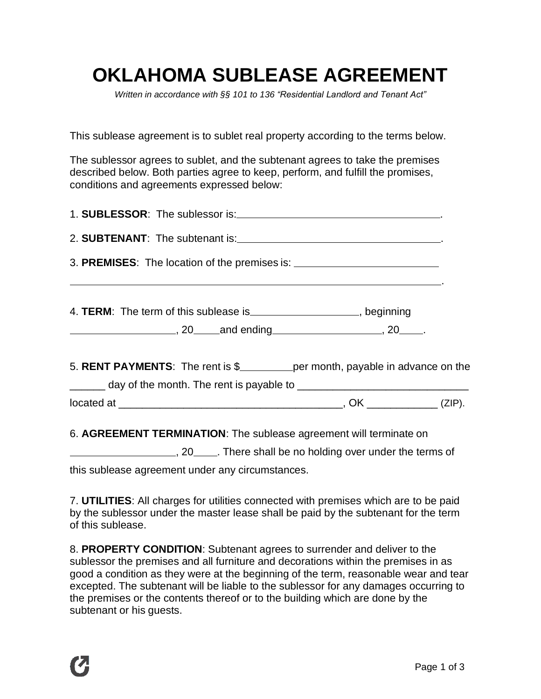## **OKLAHOMA SUBLEASE AGREEMENT**

*Written in accordance with §§ 101 to 136 "Residential Landlord and Tenant Act"*

This sublease agreement is to sublet real property according to the terms below.

The sublessor agrees to sublet, and the subtenant agrees to take the premises described below. Both parties agree to keep, perform, and fulfill the promises, conditions and agreements expressed below:

| 4. TERM: The term of this sublease is ____________________, beginning<br>$\frac{1}{20}$ , 20 and ending 20 and ending 20 and example 20 and ending 20 and 20 and 20 and 20 and 20 and 20 and 20 and 20 and 20 and 20 and 20 and 20 and 20 and 20 and 20 and 20 and 20 and 20 and 20 and 20 and 20 and 20 an |  |  |  |  |  |  |  |
|-------------------------------------------------------------------------------------------------------------------------------------------------------------------------------------------------------------------------------------------------------------------------------------------------------------|--|--|--|--|--|--|--|
| 5. RENT PAYMENTS: The rent is \$_____________ per month, payable in advance on the                                                                                                                                                                                                                          |  |  |  |  |  |  |  |
| $located at _______ (ZIP).$                                                                                                                                                                                                                                                                                 |  |  |  |  |  |  |  |
| C. ACDEEMENT TEDMINATION: The oubleges essessment will terminate an                                                                                                                                                                                                                                         |  |  |  |  |  |  |  |

6. **AGREEMENT TERMINATION**: The sublease agreement will terminate on

<sub>1</sub>, 20 \_\_\_\_\_. There shall be no holding over under the terms of

this sublease agreement under any circumstances.

7. **UTILITIES**: All charges for utilities connected with premises which are to be paid by the sublessor under the master lease shall be paid by the subtenant for the term of this sublease.

8. **PROPERTY CONDITION**: Subtenant agrees to surrender and deliver to the sublessor the premises and all furniture and decorations within the premises in as good a condition as they were at the beginning of the term, reasonable wear and tear excepted. The subtenant will be liable to the sublessor for any damages occurring to the premises or the contents thereof or to the building which are done by the subtenant or his guests.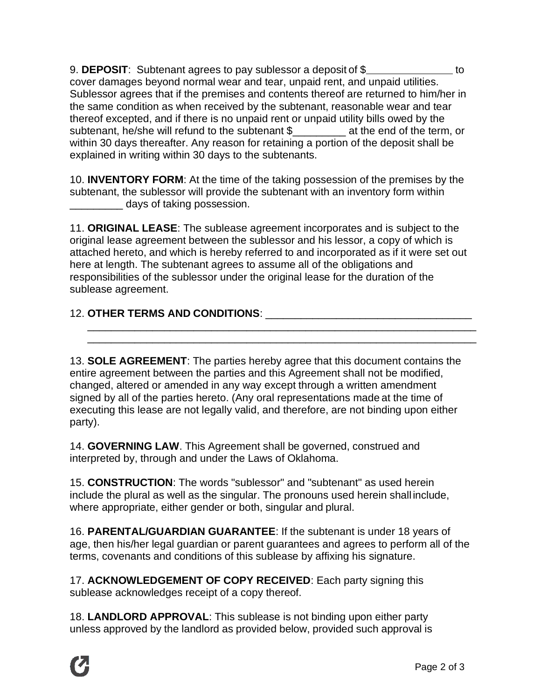9. **DEPOSIT**: Subtenant agrees to pay sublessor a deposit of \$ cover damages beyond normal wear and tear, unpaid rent, and unpaid utilities. Sublessor agrees that if the premises and contents thereof are returned to him/her in the same condition as when received by the subtenant, reasonable wear and tear thereof excepted, and if there is no unpaid rent or unpaid utility bills owed by the subtenant, he/she will refund to the subtenant \$\_\_\_\_\_\_\_\_\_ at the end of the term, or within 30 days thereafter. Any reason for retaining a portion of the deposit shall be explained in writing within 30 days to the subtenants.

10. **INVENTORY FORM**: At the time of the taking possession of the premises by the subtenant, the sublessor will provide the subtenant with an inventory form within \_\_\_\_\_\_\_\_\_ days of taking possession.

11. **ORIGINAL LEASE**: The sublease agreement incorporates and is subject to the original lease agreement between the sublessor and his lessor, a copy of which is attached hereto, and which is hereby referred to and incorporated as if it were set out here at length. The subtenant agrees to assume all of the obligations and responsibilities of the sublessor under the original lease for the duration of the sublease agreement.

\_\_\_\_\_\_\_\_\_\_\_\_\_\_\_\_\_\_\_\_\_\_\_\_\_\_\_\_\_\_\_\_\_\_\_\_\_\_\_\_\_\_\_\_\_\_\_\_\_\_\_\_\_\_\_\_\_\_\_\_\_\_\_\_\_\_ \_\_\_\_\_\_\_\_\_\_\_\_\_\_\_\_\_\_\_\_\_\_\_\_\_\_\_\_\_\_\_\_\_\_\_\_\_\_\_\_\_\_\_\_\_\_\_\_\_\_\_\_\_\_\_\_\_\_\_\_\_\_\_\_\_\_

## 12. **OTHER TERMS AND CONDITIONS**: \_\_\_\_\_\_\_\_\_\_\_\_\_\_\_\_\_\_\_\_\_\_\_\_\_\_\_\_\_\_\_\_\_\_\_

13. **SOLE AGREEMENT**: The parties hereby agree that this document contains the entire agreement between the parties and this Agreement shall not be modified, changed, altered or amended in any way except through a written amendment signed by all of the parties hereto. (Any oral representations made at the time of executing this lease are not legally valid, and therefore, are not binding upon either party).

14. **GOVERNING LAW**. This Agreement shall be governed, construed and interpreted by, through and under the Laws of Oklahoma.

15. **CONSTRUCTION**: The words "sublessor" and "subtenant" as used herein include the plural as well as the singular. The pronouns used herein shall include, where appropriate, either gender or both, singular and plural.

16. **PARENTAL/GUARDIAN GUARANTEE**: If the subtenant is under 18 years of age, then his/her legal guardian or parent guarantees and agrees to perform all of the terms, covenants and conditions of this sublease by affixing his signature.

17. **ACKNOWLEDGEMENT OF COPY RECEIVED**: Each party signing this sublease acknowledges receipt of a copy thereof.

18. **LANDLORD APPROVAL**: This sublease is not binding upon either party unless approved by the landlord as provided below, provided such approval is